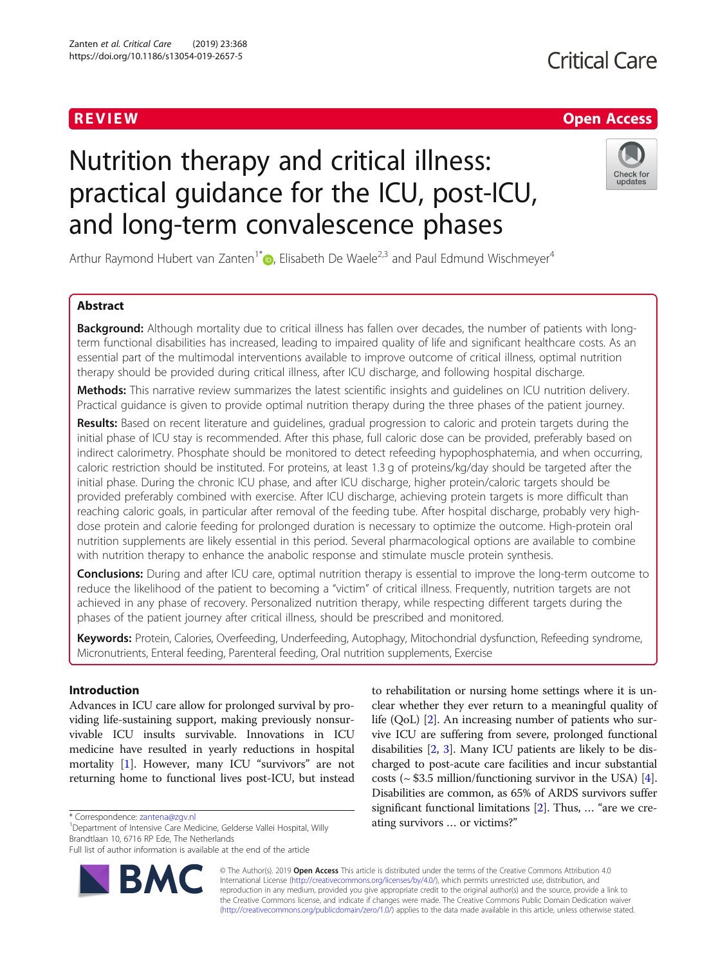## **Critical Care**

## R EVI EW Open Access

# Nutrition therapy and critical illness: practical guidance for the ICU, post-ICU, and long-term convalescence phases



Arthur Raymond Hubert van Zanten<sup>1[\\*](http://orcid.org/0000-0001-6276-7192)</sup> $\odot$ , Elisabeth De Waele<sup>2,3</sup> and Paul Edmund Wischmeyer<sup>4</sup>

## Abstract

**Background:** Although mortality due to critical illness has fallen over decades, the number of patients with longterm functional disabilities has increased, leading to impaired quality of life and significant healthcare costs. As an essential part of the multimodal interventions available to improve outcome of critical illness, optimal nutrition therapy should be provided during critical illness, after ICU discharge, and following hospital discharge.

Methods: This narrative review summarizes the latest scientific insights and quidelines on ICU nutrition delivery. Practical guidance is given to provide optimal nutrition therapy during the three phases of the patient journey.

Results: Based on recent literature and quidelines, gradual progression to caloric and protein targets during the initial phase of ICU stay is recommended. After this phase, full caloric dose can be provided, preferably based on indirect calorimetry. Phosphate should be monitored to detect refeeding hypophosphatemia, and when occurring, caloric restriction should be instituted. For proteins, at least 1.3 g of proteins/kg/day should be targeted after the initial phase. During the chronic ICU phase, and after ICU discharge, higher protein/caloric targets should be provided preferably combined with exercise. After ICU discharge, achieving protein targets is more difficult than reaching caloric goals, in particular after removal of the feeding tube. After hospital discharge, probably very highdose protein and calorie feeding for prolonged duration is necessary to optimize the outcome. High-protein oral nutrition supplements are likely essential in this period. Several pharmacological options are available to combine with nutrition therapy to enhance the anabolic response and stimulate muscle protein synthesis.

**Conclusions:** During and after ICU care, optimal nutrition therapy is essential to improve the long-term outcome to reduce the likelihood of the patient to becoming a "victim" of critical illness. Frequently, nutrition targets are not achieved in any phase of recovery. Personalized nutrition therapy, while respecting different targets during the phases of the patient journey after critical illness, should be prescribed and monitored.

Keywords: Protein, Calories, Overfeeding, Underfeeding, Autophagy, Mitochondrial dysfunction, Refeeding syndrome, Micronutrients, Enteral feeding, Parenteral feeding, Oral nutrition supplements, Exercise

## Introduction

Advances in ICU care allow for prolonged survival by providing life-sustaining support, making previously nonsurvivable ICU insults survivable. Innovations in ICU medicine have resulted in yearly reductions in hospital mortality [[1\]](#page-7-0). However, many ICU "survivors" are not returning home to functional lives post-ICU, but instead

Full list of author information is available at the end of the article



to rehabilitation or nursing home settings where it is unclear whether they ever return to a meaningful quality of life (QoL) [\[2](#page-7-0)]. An increasing number of patients who survive ICU are suffering from severe, prolonged functional disabilities [\[2,](#page-7-0) [3](#page-7-0)]. Many ICU patients are likely to be discharged to post-acute care facilities and incur substantial costs ( $\sim$  \$3.5 million/functioning survivor in the USA) [[4](#page-7-0)]. Disabilities are common, as 65% of ARDS survivors suffer significant functional limitations [\[2](#page-7-0)]. Thus, … "are we creating survivors … or victims?"

© The Author(s). 2019 **Open Access** This article is distributed under the terms of the Creative Commons Attribution 4.0 International License [\(http://creativecommons.org/licenses/by/4.0/](http://creativecommons.org/licenses/by/4.0/)), which permits unrestricted use, distribution, and reproduction in any medium, provided you give appropriate credit to the original author(s) and the source, provide a link to the Creative Commons license, and indicate if changes were made. The Creative Commons Public Domain Dedication waiver [\(http://creativecommons.org/publicdomain/zero/1.0/](http://creativecommons.org/publicdomain/zero/1.0/)) applies to the data made available in this article, unless otherwise stated.

<sup>\*</sup> Correspondence: [zantena@zgv.nl](mailto:zantena@zgv.nl) <sup>1</sup>

<sup>&</sup>lt;sup>1</sup>Department of Intensive Care Medicine, Gelderse Vallei Hospital, Willy Brandtlaan 10, 6716 RP Ede, The Netherlands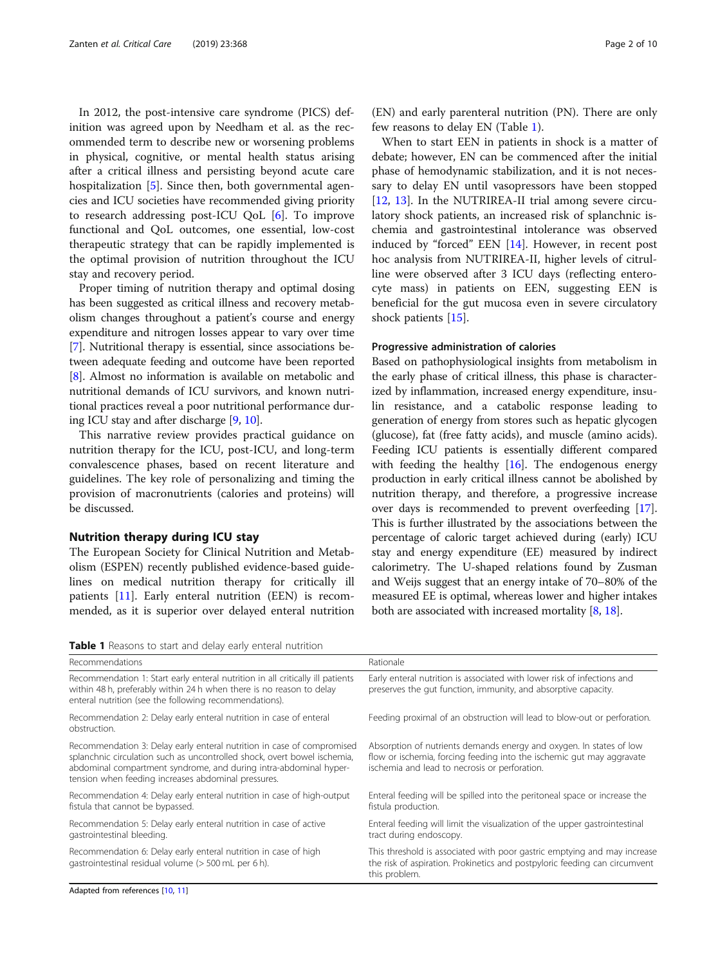In 2012, the post-intensive care syndrome (PICS) definition was agreed upon by Needham et al. as the recommended term to describe new or worsening problems in physical, cognitive, or mental health status arising after a critical illness and persisting beyond acute care hospitalization [\[5\]](#page-7-0). Since then, both governmental agencies and ICU societies have recommended giving priority to research addressing post-ICU QoL [\[6](#page-7-0)]. To improve functional and QoL outcomes, one essential, low-cost therapeutic strategy that can be rapidly implemented is the optimal provision of nutrition throughout the ICU stay and recovery period.

Proper timing of nutrition therapy and optimal dosing has been suggested as critical illness and recovery metabolism changes throughout a patient's course and energy expenditure and nitrogen losses appear to vary over time [[7\]](#page-7-0). Nutritional therapy is essential, since associations between adequate feeding and outcome have been reported [[8\]](#page-7-0). Almost no information is available on metabolic and nutritional demands of ICU survivors, and known nutritional practices reveal a poor nutritional performance during ICU stay and after discharge [[9,](#page-7-0) [10\]](#page-7-0).

This narrative review provides practical guidance on nutrition therapy for the ICU, post-ICU, and long-term convalescence phases, based on recent literature and guidelines. The key role of personalizing and timing the provision of macronutrients (calories and proteins) will be discussed.

## Nutrition therapy during ICU stay

The European Society for Clinical Nutrition and Metabolism (ESPEN) recently published evidence-based guidelines on medical nutrition therapy for critically ill patients [\[11](#page-8-0)]. Early enteral nutrition (EEN) is recommended, as it is superior over delayed enteral nutrition

(EN) and early parenteral nutrition (PN). There are only few reasons to delay EN (Table 1).

When to start EEN in patients in shock is a matter of debate; however, EN can be commenced after the initial phase of hemodynamic stabilization, and it is not necessary to delay EN until vasopressors have been stopped [[12,](#page-8-0) [13](#page-8-0)]. In the NUTRIREA-II trial among severe circulatory shock patients, an increased risk of splanchnic ischemia and gastrointestinal intolerance was observed induced by "forced" EEN [[14](#page-8-0)]. However, in recent post hoc analysis from NUTRIREA-II, higher levels of citrulline were observed after 3 ICU days (reflecting enterocyte mass) in patients on EEN, suggesting EEN is beneficial for the gut mucosa even in severe circulatory shock patients [\[15](#page-8-0)].

## Progressive administration of calories

Based on pathophysiological insights from metabolism in the early phase of critical illness, this phase is characterized by inflammation, increased energy expenditure, insulin resistance, and a catabolic response leading to generation of energy from stores such as hepatic glycogen (glucose), fat (free fatty acids), and muscle (amino acids). Feeding ICU patients is essentially different compared with feeding the healthy [\[16\]](#page-8-0). The endogenous energy production in early critical illness cannot be abolished by nutrition therapy, and therefore, a progressive increase over days is recommended to prevent overfeeding [[17](#page-8-0)]. This is further illustrated by the associations between the percentage of caloric target achieved during (early) ICU stay and energy expenditure (EE) measured by indirect calorimetry. The U-shaped relations found by Zusman and Weijs suggest that an energy intake of 70–80% of the measured EE is optimal, whereas lower and higher intakes both are associated with increased mortality [\[8,](#page-7-0) [18](#page-8-0)].

Table 1 Reasons to start and delay early enteral nutrition

| . Headquisted start and actap can perfect in matrician                                                                                                                                                                                                                         |                                                                                                                                                                                               |  |  |
|--------------------------------------------------------------------------------------------------------------------------------------------------------------------------------------------------------------------------------------------------------------------------------|-----------------------------------------------------------------------------------------------------------------------------------------------------------------------------------------------|--|--|
| Recommendations                                                                                                                                                                                                                                                                | Rationale                                                                                                                                                                                     |  |  |
| Recommendation 1: Start early enteral nutrition in all critically ill patients<br>within 48 h, preferably within 24 h when there is no reason to delay<br>enteral nutrition (see the following recommendations).                                                               | Early enteral nutrition is associated with lower risk of infections and<br>preserves the gut function, immunity, and absorptive capacity.                                                     |  |  |
| Recommendation 2: Delay early enteral nutrition in case of enteral<br>obstruction.                                                                                                                                                                                             | Feeding proximal of an obstruction will lead to blow-out or perforation.                                                                                                                      |  |  |
| Recommendation 3: Delay early enteral nutrition in case of compromised<br>splanchnic circulation such as uncontrolled shock, overt bowel ischemia,<br>abdominal compartment syndrome, and during intra-abdominal hyper-<br>tension when feeding increases abdominal pressures. | Absorption of nutrients demands energy and oxygen. In states of low<br>flow or ischemia, forcing feeding into the ischemic gut may aggravate<br>ischemia and lead to necrosis or perforation. |  |  |
| Recommendation 4: Delay early enteral nutrition in case of high-output<br>fistula that cannot be bypassed.                                                                                                                                                                     | Enteral feeding will be spilled into the peritoneal space or increase the<br>fistula production.                                                                                              |  |  |
| Recommendation 5: Delay early enteral nutrition in case of active<br>gastrointestinal bleeding.                                                                                                                                                                                | Enteral feeding will limit the visualization of the upper gastrointestinal<br>tract during endoscopy.                                                                                         |  |  |
| Recommendation 6: Delay early enteral nutrition in case of high<br>gastrointestinal residual volume (> 500 mL per 6 h).                                                                                                                                                        | This threshold is associated with poor gastric emptying and may increase<br>the risk of aspiration. Prokinetics and postpyloric feeding can circumvent<br>this problem.                       |  |  |
|                                                                                                                                                                                                                                                                                |                                                                                                                                                                                               |  |  |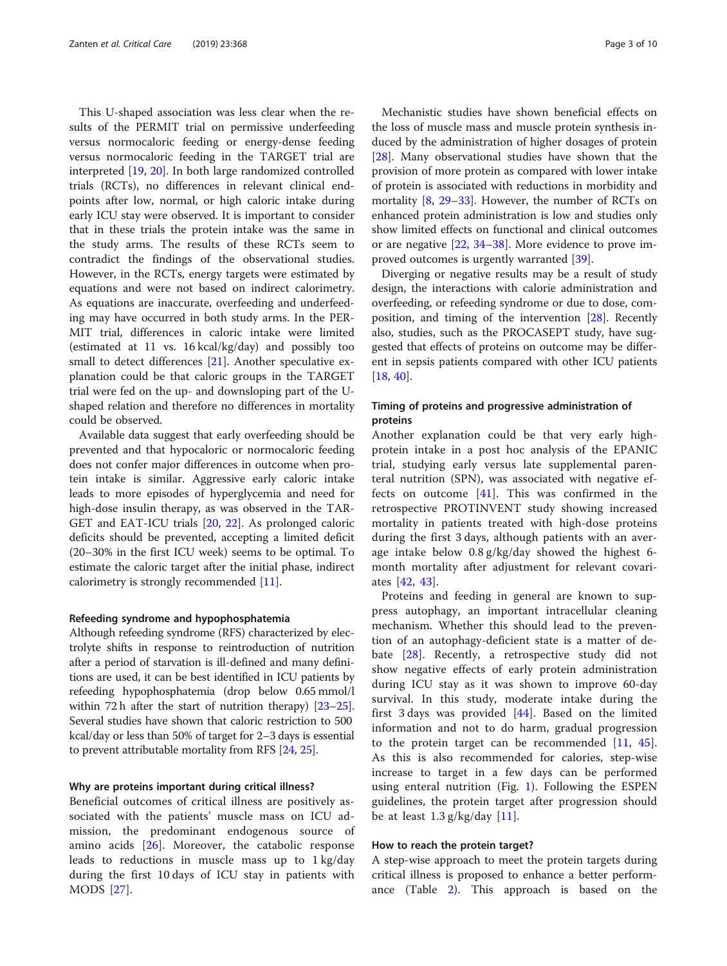This U-shaped association was less clear when the results of the PERMIT trial on permissive underfeeding versus normocaloric feeding or energy-dense feeding versus normocaloric feeding in the TARGET trial are interpreted [\[19,](#page-8-0) [20\]](#page-8-0). In both large randomized controlled trials (RCTs), no differences in relevant clinical endpoints after low, normal, or high caloric intake during early ICU stay were observed. It is important to consider that in these trials the protein intake was the same in the study arms. The results of these RCTs seem to contradict the findings of the observational studies. However, in the RCTs, energy targets were estimated by equations and were not based on indirect calorimetry. As equations are inaccurate, overfeeding and underfeeding may have occurred in both study arms. In the PER-MIT trial, differences in caloric intake were limited (estimated at 11 vs. 16 kcal/kg/day) and possibly too small to detect differences [[21\]](#page-8-0). Another speculative explanation could be that caloric groups in the TARGET trial were fed on the up- and downsloping part of the Ushaped relation and therefore no differences in mortality could be observed.

Available data suggest that early overfeeding should be prevented and that hypocaloric or normocaloric feeding does not confer major differences in outcome when protein intake is similar. Aggressive early caloric intake leads to more episodes of hyperglycemia and need for high-dose insulin therapy, as was observed in the TAR-GET and EAT-ICU trials [\[20,](#page-8-0) [22\]](#page-8-0). As prolonged caloric deficits should be prevented, accepting a limited deficit (20–30% in the first ICU week) seems to be optimal. To estimate the caloric target after the initial phase, indirect calorimetry is strongly recommended [[11\]](#page-8-0).

## Refeeding syndrome and hypophosphatemia

Although refeeding syndrome (RFS) characterized by electrolyte shifts in response to reintroduction of nutrition after a period of starvation is ill-defined and many definitions are used, it can be best identified in ICU patients by refeeding hypophosphatemia (drop below 0.65 mmol/l within 72 h after the start of nutrition therapy) [\[23](#page-8-0)–[25](#page-8-0)]. Several studies have shown that caloric restriction to 500 kcal/day or less than 50% of target for 2–3 days is essential to prevent attributable mortality from RFS [[24](#page-8-0), [25\]](#page-8-0).

## Why are proteins important during critical illness?

Beneficial outcomes of critical illness are positively associated with the patients' muscle mass on ICU admission, the predominant endogenous source of amino acids [[26\]](#page-8-0). Moreover, the catabolic response leads to reductions in muscle mass up to 1 kg/day during the first 10 days of ICU stay in patients with MODS [\[27](#page-8-0)].

Mechanistic studies have shown beneficial effects on the loss of muscle mass and muscle protein synthesis induced by the administration of higher dosages of protein [[28\]](#page-8-0). Many observational studies have shown that the provision of more protein as compared with lower intake of protein is associated with reductions in morbidity and mortality  $[8, 29-33]$  $[8, 29-33]$  $[8, 29-33]$  $[8, 29-33]$  $[8, 29-33]$  $[8, 29-33]$  $[8, 29-33]$ . However, the number of RCTs on enhanced protein administration is low and studies only show limited effects on functional and clinical outcomes or are negative [[22,](#page-8-0) [34](#page-8-0)–[38\]](#page-8-0). More evidence to prove im-proved outcomes is urgently warranted [\[39](#page-8-0)].

Diverging or negative results may be a result of study design, the interactions with calorie administration and overfeeding, or refeeding syndrome or due to dose, composition, and timing of the intervention [[28\]](#page-8-0). Recently also, studies, such as the PROCASEPT study, have suggested that effects of proteins on outcome may be different in sepsis patients compared with other ICU patients [[18,](#page-8-0) [40\]](#page-8-0).

## Timing of proteins and progressive administration of proteins

Another explanation could be that very early highprotein intake in a post hoc analysis of the EPANIC trial, studying early versus late supplemental parenteral nutrition (SPN), was associated with negative effects on outcome [\[41](#page-8-0)]. This was confirmed in the retrospective PROTINVENT study showing increased mortality in patients treated with high-dose proteins during the first 3 days, although patients with an average intake below 0.8 g/kg/day showed the highest 6 month mortality after adjustment for relevant covariates [[42](#page-8-0), [43](#page-8-0)].

Proteins and feeding in general are known to suppress autophagy, an important intracellular cleaning mechanism. Whether this should lead to the prevention of an autophagy-deficient state is a matter of debate [[28\]](#page-8-0). Recently, a retrospective study did not show negative effects of early protein administration during ICU stay as it was shown to improve 60-day survival. In this study, moderate intake during the first 3 days was provided  $[44]$  $[44]$ . Based on the limited information and not to do harm, gradual progression to the protein target can be recommended [[11,](#page-8-0) [45](#page-9-0)]. As this is also recommended for calories, step-wise increase to target in a few days can be performed using enteral nutrition (Fig. [1](#page-3-0)). Following the ESPEN guidelines, the protein target after progression should be at least 1.3 g/kg/day [\[11](#page-8-0)].

## How to reach the protein target?

A step-wise approach to meet the protein targets during critical illness is proposed to enhance a better performance (Table [2\)](#page-4-0). This approach is based on the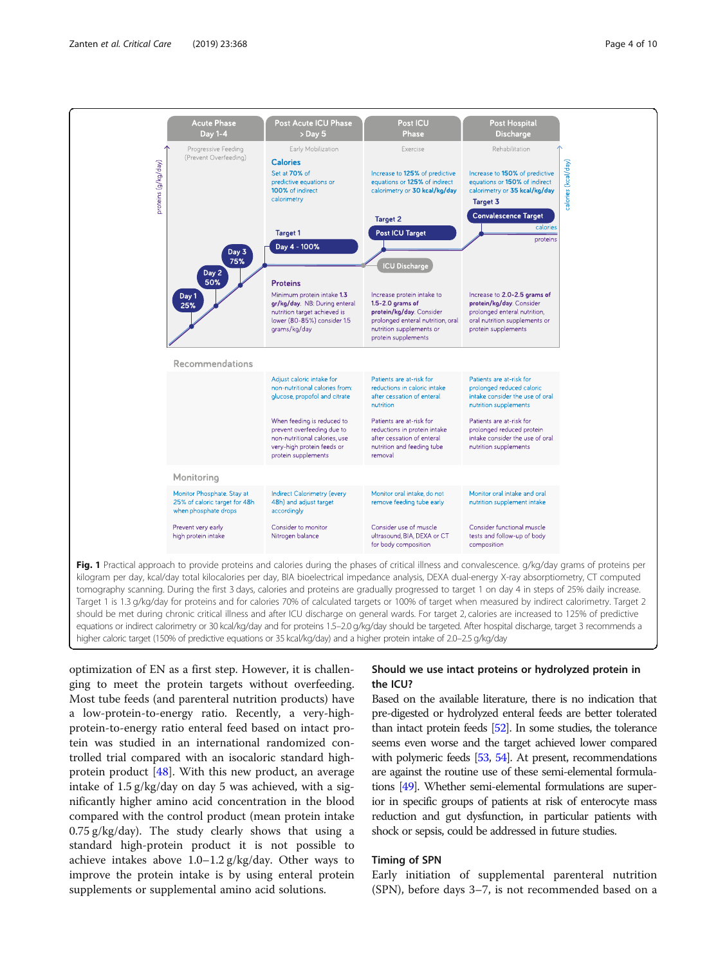<span id="page-3-0"></span>

optimization of EN as a first step. However, it is challenging to meet the protein targets without overfeeding. Most tube feeds (and parenteral nutrition products) have a low-protein-to-energy ratio. Recently, a very-highprotein-to-energy ratio enteral feed based on intact protein was studied in an international randomized controlled trial compared with an isocaloric standard highprotein product [\[48](#page-9-0)]. With this new product, an average intake of 1.5 g/kg/day on day 5 was achieved, with a significantly higher amino acid concentration in the blood compared with the control product (mean protein intake 0.75 g/kg/day). The study clearly shows that using a standard high-protein product it is not possible to achieve intakes above 1.0–1.2 g/kg/day. Other ways to improve the protein intake is by using enteral protein supplements or supplemental amino acid solutions.

## Should we use intact proteins or hydrolyzed protein in the ICU?

Based on the available literature, there is no indication that pre-digested or hydrolyzed enteral feeds are better tolerated than intact protein feeds [\[52\]](#page-9-0). In some studies, the tolerance seems even worse and the target achieved lower compared with polymeric feeds [\[53,](#page-9-0) [54](#page-9-0)]. At present, recommendations are against the routine use of these semi-elemental formulations [\[49](#page-9-0)]. Whether semi-elemental formulations are superior in specific groups of patients at risk of enterocyte mass reduction and gut dysfunction, in particular patients with shock or sepsis, could be addressed in future studies.

## Timing of SPN

Early initiation of supplemental parenteral nutrition (SPN), before days 3–7, is not recommended based on a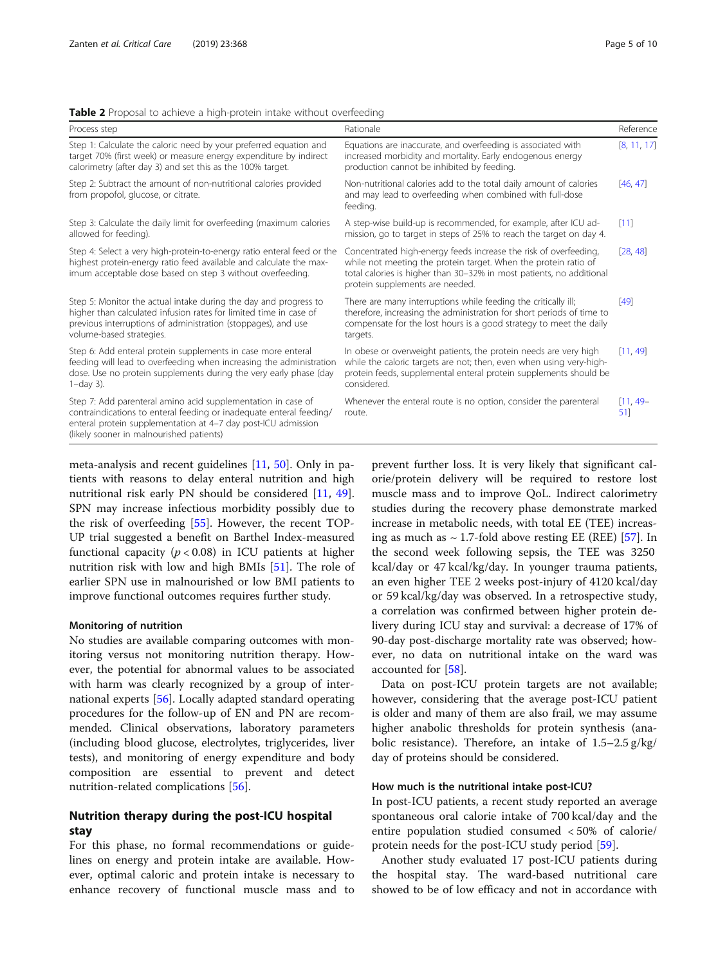<span id="page-4-0"></span>

|  |  | Table 2 Proposal to achieve a high-protein intake without overfeeding |  |
|--|--|-----------------------------------------------------------------------|--|
|  |  |                                                                       |  |

| Process step                                                                                                                                                                                                                                     | Rationale                                                                                                                                                                                                                                      | Reference         |
|--------------------------------------------------------------------------------------------------------------------------------------------------------------------------------------------------------------------------------------------------|------------------------------------------------------------------------------------------------------------------------------------------------------------------------------------------------------------------------------------------------|-------------------|
| Step 1: Calculate the caloric need by your preferred equation and<br>target 70% (first week) or measure energy expenditure by indirect<br>calorimetry (after day 3) and set this as the 100% target.                                             | Equations are inaccurate, and overfeeding is associated with<br>increased morbidity and mortality. Early endogenous energy<br>production cannot be inhibited by feeding.                                                                       | [8, 11, 17]       |
| Step 2: Subtract the amount of non-nutritional calories provided<br>from propofol, glucose, or citrate.                                                                                                                                          | Non-nutritional calories add to the total daily amount of calories<br>and may lead to overfeeding when combined with full-dose<br>feeding.                                                                                                     | [46, 47]          |
| Step 3: Calculate the daily limit for overfeeding (maximum calories<br>allowed for feeding).                                                                                                                                                     | A step-wise build-up is recommended, for example, after ICU ad-<br>mission, go to target in steps of 25% to reach the target on day 4.                                                                                                         | [11]              |
| Step 4: Select a very high-protein-to-energy ratio enteral feed or the<br>highest protein-energy ratio feed available and calculate the max-<br>imum acceptable dose based on step 3 without overfeeding.                                        | Concentrated high-energy feeds increase the risk of overfeeding,<br>while not meeting the protein target. When the protein ratio of<br>total calories is higher than 30-32% in most patients, no additional<br>protein supplements are needed. | [28, 48]          |
| Step 5: Monitor the actual intake during the day and progress to<br>higher than calculated infusion rates for limited time in case of<br>previous interruptions of administration (stoppages), and use<br>volume-based strategies.               | There are many interruptions while feeding the critically ill;<br>therefore, increasing the administration for short periods of time to<br>compensate for the lost hours is a good strategy to meet the daily<br>targets.                      | [49]              |
| Step 6: Add enteral protein supplements in case more enteral<br>feeding will lead to overfeeding when increasing the administration<br>dose. Use no protein supplements during the very early phase (day<br>$1$ -day 3).                         | In obese or overweight patients, the protein needs are very high<br>while the caloric targets are not; then, even when using very-high-<br>protein feeds, supplemental enteral protein supplements should be<br>considered.                    | [11, 49]          |
| Step 7: Add parenteral amino acid supplementation in case of<br>contraindications to enteral feeding or inadequate enteral feeding/<br>enteral protein supplementation at 4-7 day post-ICU admission<br>(likely sooner in malnourished patients) | Whenever the enteral route is no option, consider the parenteral<br>route.                                                                                                                                                                     | $[11, 49-$<br>51] |

meta-analysis and recent guidelines [\[11](#page-8-0), [50](#page-9-0)]. Only in patients with reasons to delay enteral nutrition and high nutritional risk early PN should be considered [\[11](#page-8-0), [49](#page-9-0)]. SPN may increase infectious morbidity possibly due to the risk of overfeeding [\[55\]](#page-9-0). However, the recent TOP-UP trial suggested a benefit on Barthel Index-measured functional capacity ( $p < 0.08$ ) in ICU patients at higher nutrition risk with low and high BMIs [\[51](#page-9-0)]. The role of earlier SPN use in malnourished or low BMI patients to improve functional outcomes requires further study.

## Monitoring of nutrition

No studies are available comparing outcomes with monitoring versus not monitoring nutrition therapy. However, the potential for abnormal values to be associated with harm was clearly recognized by a group of international experts [\[56](#page-9-0)]. Locally adapted standard operating procedures for the follow-up of EN and PN are recommended. Clinical observations, laboratory parameters (including blood glucose, electrolytes, triglycerides, liver tests), and monitoring of energy expenditure and body composition are essential to prevent and detect nutrition-related complications [\[56](#page-9-0)].

## Nutrition therapy during the post-ICU hospital stay

For this phase, no formal recommendations or guidelines on energy and protein intake are available. However, optimal caloric and protein intake is necessary to enhance recovery of functional muscle mass and to

prevent further loss. It is very likely that significant calorie/protein delivery will be required to restore lost muscle mass and to improve QoL. Indirect calorimetry studies during the recovery phase demonstrate marked increase in metabolic needs, with total EE (TEE) increasing as much as  $\sim$  1.7-fold above resting EE (REE) [[57\]](#page-9-0). In the second week following sepsis, the TEE was 3250 kcal/day or 47 kcal/kg/day. In younger trauma patients, an even higher TEE 2 weeks post-injury of 4120 kcal/day or 59 kcal/kg/day was observed. In a retrospective study, a correlation was confirmed between higher protein delivery during ICU stay and survival: a decrease of 17% of 90-day post-discharge mortality rate was observed; however, no data on nutritional intake on the ward was accounted for [\[58](#page-9-0)].

Data on post-ICU protein targets are not available; however, considering that the average post-ICU patient is older and many of them are also frail, we may assume higher anabolic thresholds for protein synthesis (anabolic resistance). Therefore, an intake of 1.5–2.5 g/kg/ day of proteins should be considered.

## How much is the nutritional intake post-ICU?

In post-ICU patients, a recent study reported an average spontaneous oral calorie intake of 700 kcal/day and the entire population studied consumed < 50% of calorie/ protein needs for the post-ICU study period [[59\]](#page-9-0).

Another study evaluated 17 post-ICU patients during the hospital stay. The ward-based nutritional care showed to be of low efficacy and not in accordance with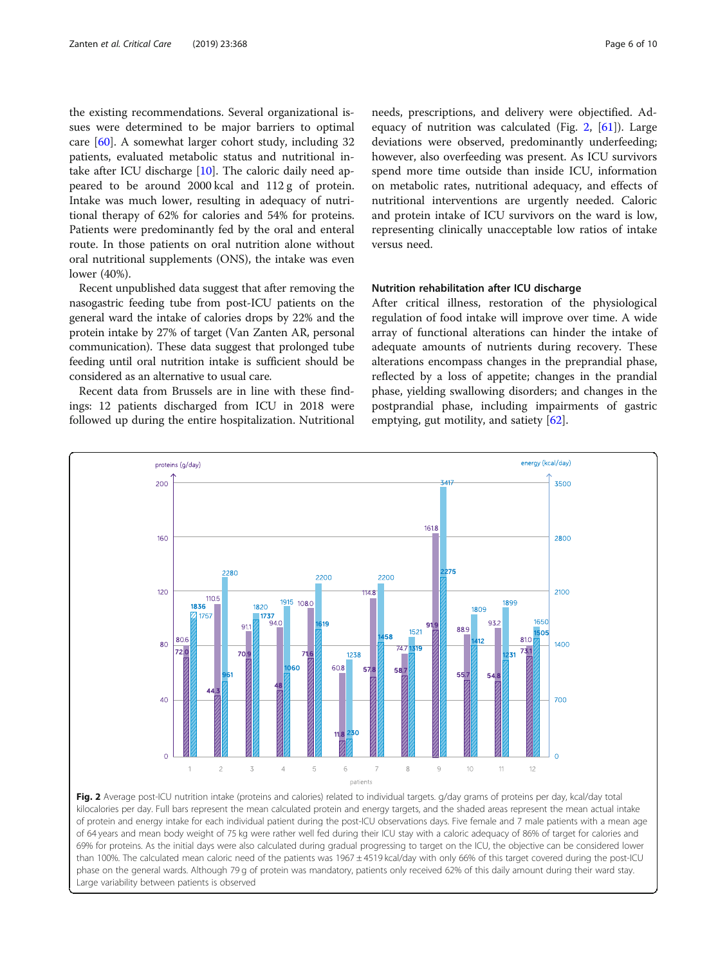the existing recommendations. Several organizational issues were determined to be major barriers to optimal care [\[60](#page-9-0)]. A somewhat larger cohort study, including 32 patients, evaluated metabolic status and nutritional intake after ICU discharge [[10\]](#page-7-0). The caloric daily need appeared to be around 2000 kcal and 112 g of protein. Intake was much lower, resulting in adequacy of nutritional therapy of 62% for calories and 54% for proteins. Patients were predominantly fed by the oral and enteral route. In those patients on oral nutrition alone without oral nutritional supplements (ONS), the intake was even lower (40%).

Recent unpublished data suggest that after removing the nasogastric feeding tube from post-ICU patients on the general ward the intake of calories drops by 22% and the protein intake by 27% of target (Van Zanten AR, personal communication). These data suggest that prolonged tube feeding until oral nutrition intake is sufficient should be considered as an alternative to usual care.

Recent data from Brussels are in line with these findings: 12 patients discharged from ICU in 2018 were followed up during the entire hospitalization. Nutritional needs, prescriptions, and delivery were objectified. Adequacy of nutrition was calculated (Fig.  $2$ , [[61\]](#page-9-0)). Large deviations were observed, predominantly underfeeding; however, also overfeeding was present. As ICU survivors spend more time outside than inside ICU, information on metabolic rates, nutritional adequacy, and effects of nutritional interventions are urgently needed. Caloric and protein intake of ICU survivors on the ward is low, representing clinically unacceptable low ratios of intake versus need.

## Nutrition rehabilitation after ICU discharge

After critical illness, restoration of the physiological regulation of food intake will improve over time. A wide array of functional alterations can hinder the intake of adequate amounts of nutrients during recovery. These alterations encompass changes in the preprandial phase, reflected by a loss of appetite; changes in the prandial phase, yielding swallowing disorders; and changes in the postprandial phase, including impairments of gastric emptying, gut motility, and satiety  $[62]$  $[62]$ .



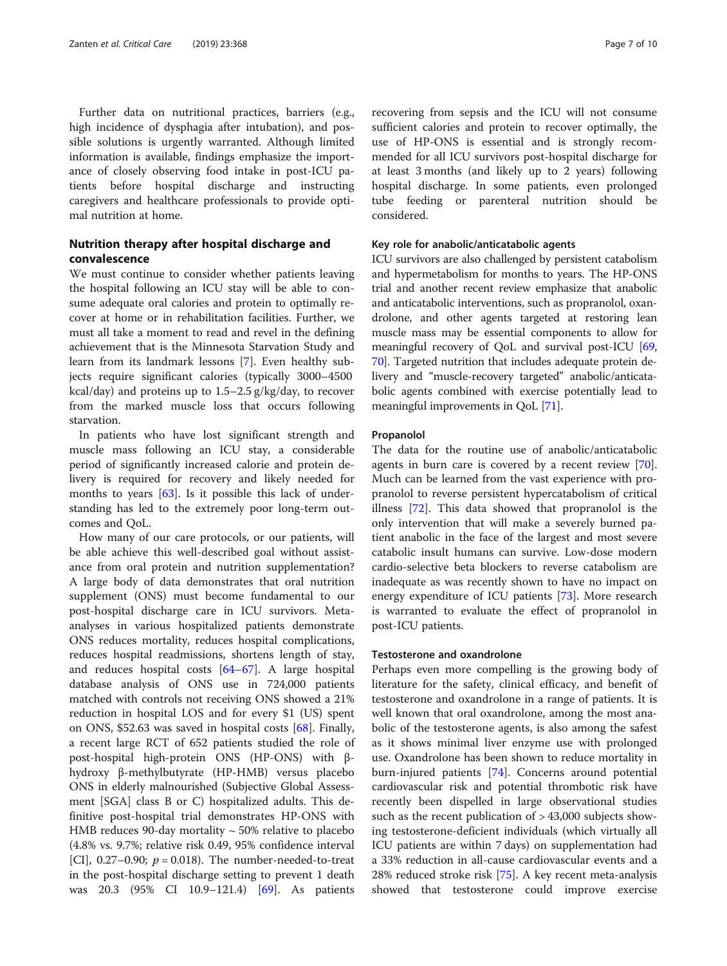Further data on nutritional practices, barriers (e.g., high incidence of dysphagia after intubation), and possible solutions is urgently warranted. Although limited information is available, findings emphasize the importance of closely observing food intake in post-ICU patients before hospital discharge and instructing caregivers and healthcare professionals to provide optimal nutrition at home.

## Nutrition therapy after hospital discharge and convalescence

We must continue to consider whether patients leaving the hospital following an ICU stay will be able to consume adequate oral calories and protein to optimally recover at home or in rehabilitation facilities. Further, we must all take a moment to read and revel in the defining achievement that is the Minnesota Starvation Study and learn from its landmark lessons [[7\]](#page-7-0). Even healthy subjects require significant calories (typically 3000–4500 kcal/day) and proteins up to  $1.5-2.5$  g/kg/day, to recover from the marked muscle loss that occurs following starvation.

In patients who have lost significant strength and muscle mass following an ICU stay, a considerable period of significantly increased calorie and protein delivery is required for recovery and likely needed for months to years [[63\]](#page-9-0). Is it possible this lack of understanding has led to the extremely poor long-term outcomes and QoL.

How many of our care protocols, or our patients, will be able achieve this well-described goal without assistance from oral protein and nutrition supplementation? A large body of data demonstrates that oral nutrition supplement (ONS) must become fundamental to our post-hospital discharge care in ICU survivors. Metaanalyses in various hospitalized patients demonstrate ONS reduces mortality, reduces hospital complications, reduces hospital readmissions, shortens length of stay, and reduces hospital costs [[64](#page-9-0)–[67](#page-9-0)]. A large hospital database analysis of ONS use in 724,000 patients matched with controls not receiving ONS showed a 21% reduction in hospital LOS and for every \$1 (US) spent on ONS, \$52.63 was saved in hospital costs [[68\]](#page-9-0). Finally, a recent large RCT of 652 patients studied the role of post-hospital high-protein ONS (HP-ONS) with βhydroxy β-methylbutyrate (HP-HMB) versus placebo ONS in elderly malnourished (Subjective Global Assessment [SGA] class B or C) hospitalized adults. This definitive post-hospital trial demonstrates HP-ONS with HMB reduces 90-day mortality  $\sim$  50% relative to placebo (4.8% vs. 9.7%; relative risk 0.49, 95% confidence interval [CI], 0.27–0.90;  $p = 0.018$ ). The number-needed-to-treat in the post-hospital discharge setting to prevent 1 death was 20.3 (95% CI 10.9–121.4) [\[69](#page-9-0)]. As patients recovering from sepsis and the ICU will not consume sufficient calories and protein to recover optimally, the use of HP-ONS is essential and is strongly recommended for all ICU survivors post-hospital discharge for at least 3 months (and likely up to 2 years) following hospital discharge. In some patients, even prolonged tube feeding or parenteral nutrition should be considered.

## Key role for anabolic/anticatabolic agents

ICU survivors are also challenged by persistent catabolism and hypermetabolism for months to years. The HP-ONS trial and another recent review emphasize that anabolic and anticatabolic interventions, such as propranolol, oxandrolone, and other agents targeted at restoring lean muscle mass may be essential components to allow for meaningful recovery of QoL and survival post-ICU [[69](#page-9-0), [70](#page-9-0)]. Targeted nutrition that includes adequate protein delivery and "muscle-recovery targeted" anabolic/anticatabolic agents combined with exercise potentially lead to meaningful improvements in QoL [[71](#page-9-0)].

## Propanolol

The data for the routine use of anabolic/anticatabolic agents in burn care is covered by a recent review [\[70](#page-9-0)]. Much can be learned from the vast experience with propranolol to reverse persistent hypercatabolism of critical illness [\[72\]](#page-9-0). This data showed that propranolol is the only intervention that will make a severely burned patient anabolic in the face of the largest and most severe catabolic insult humans can survive. Low-dose modern cardio-selective beta blockers to reverse catabolism are inadequate as was recently shown to have no impact on energy expenditure of ICU patients [[73](#page-9-0)]. More research is warranted to evaluate the effect of propranolol in post-ICU patients.

## Testosterone and oxandrolone

Perhaps even more compelling is the growing body of literature for the safety, clinical efficacy, and benefit of testosterone and oxandrolone in a range of patients. It is well known that oral oxandrolone, among the most anabolic of the testosterone agents, is also among the safest as it shows minimal liver enzyme use with prolonged use. Oxandrolone has been shown to reduce mortality in burn-injured patients [\[74\]](#page-9-0). Concerns around potential cardiovascular risk and potential thrombotic risk have recently been dispelled in large observational studies such as the recent publication of > 43,000 subjects showing testosterone-deficient individuals (which virtually all ICU patients are within 7 days) on supplementation had a 33% reduction in all-cause cardiovascular events and a 28% reduced stroke risk [[75\]](#page-9-0). A key recent meta-analysis showed that testosterone could improve exercise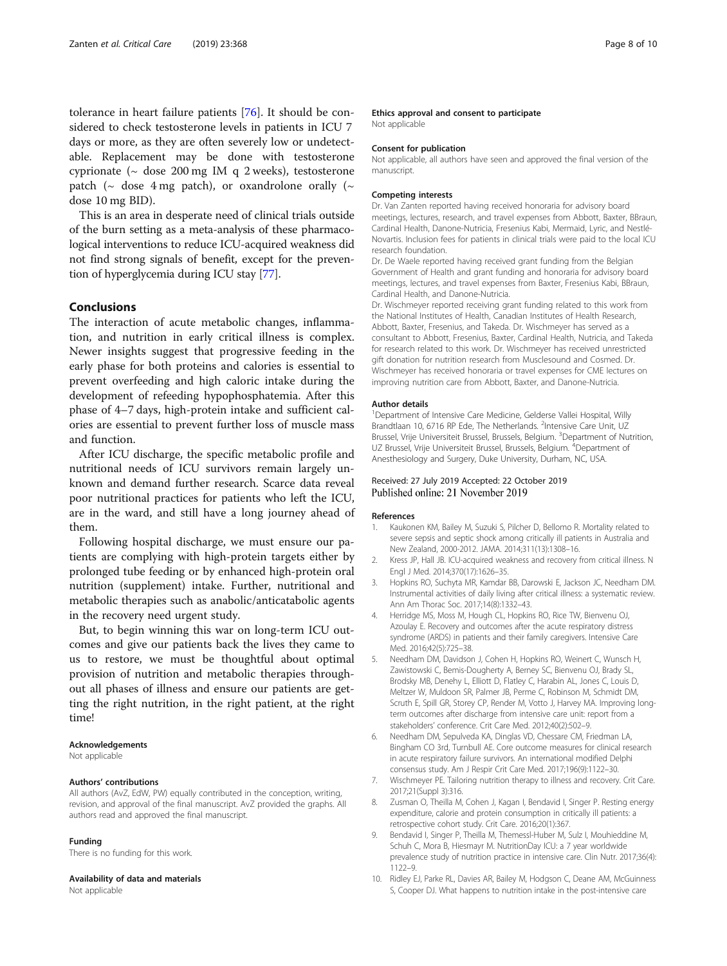<span id="page-7-0"></span>tolerance in heart failure patients [[76](#page-9-0)]. It should be considered to check testosterone levels in patients in ICU 7 days or more, as they are often severely low or undetectable. Replacement may be done with testosterone cyprionate ( $\sim$  dose 200 mg IM q 2 weeks), testosterone patch ( $\sim$  dose 4 mg patch), or oxandrolone orally ( $\sim$ dose 10 mg BID).

This is an area in desperate need of clinical trials outside of the burn setting as a meta-analysis of these pharmacological interventions to reduce ICU-acquired weakness did not find strong signals of benefit, except for the prevention of hyperglycemia during ICU stay [\[77\]](#page-9-0).

## Conclusions

The interaction of acute metabolic changes, inflammation, and nutrition in early critical illness is complex. Newer insights suggest that progressive feeding in the early phase for both proteins and calories is essential to prevent overfeeding and high caloric intake during the development of refeeding hypophosphatemia. After this phase of 4–7 days, high-protein intake and sufficient calories are essential to prevent further loss of muscle mass and function.

After ICU discharge, the specific metabolic profile and nutritional needs of ICU survivors remain largely unknown and demand further research. Scarce data reveal poor nutritional practices for patients who left the ICU, are in the ward, and still have a long journey ahead of them.

Following hospital discharge, we must ensure our patients are complying with high-protein targets either by prolonged tube feeding or by enhanced high-protein oral nutrition (supplement) intake. Further, nutritional and metabolic therapies such as anabolic/anticatabolic agents in the recovery need urgent study.

But, to begin winning this war on long-term ICU outcomes and give our patients back the lives they came to us to restore, we must be thoughtful about optimal provision of nutrition and metabolic therapies throughout all phases of illness and ensure our patients are getting the right nutrition, in the right patient, at the right time!

## Acknowledgements

Not applicable

## Authors' contributions

All authors (AvZ, EdW, PW) equally contributed in the conception, writing, revision, and approval of the final manuscript. AvZ provided the graphs. All authors read and approved the final manuscript.

#### Funding

There is no funding for this work.

#### Availability of data and materials

Not applicable

#### Ethics approval and consent to participate

Not applicable

## Consent for publication

Not applicable, all authors have seen and approved the final version of the manuscript.

### Competing interests

Dr. Van Zanten reported having received honoraria for advisory board meetings, lectures, research, and travel expenses from Abbott, Baxter, BBraun, Cardinal Health, Danone-Nutricia, Fresenius Kabi, Mermaid, Lyric, and Nestlé-Novartis. Inclusion fees for patients in clinical trials were paid to the local ICU research foundation.

Dr. De Waele reported having received grant funding from the Belgian Government of Health and grant funding and honoraria for advisory board meetings, lectures, and travel expenses from Baxter, Fresenius Kabi, BBraun, Cardinal Health, and Danone-Nutricia.

Dr. Wischmeyer reported receiving grant funding related to this work from the National Institutes of Health, Canadian Institutes of Health Research, Abbott, Baxter, Fresenius, and Takeda. Dr. Wischmeyer has served as a consultant to Abbott, Fresenius, Baxter, Cardinal Health, Nutricia, and Takeda for research related to this work. Dr. Wischmeyer has received unrestricted gift donation for nutrition research from Musclesound and Cosmed. Dr. Wischmeyer has received honoraria or travel expenses for CME lectures on improving nutrition care from Abbott, Baxter, and Danone-Nutricia.

#### Author details

<sup>1</sup>Department of Intensive Care Medicine, Gelderse Vallei Hospital, Willy Brandtlaan 10, 6716 RP Ede, The Netherlands. <sup>2</sup>Intensive Care Unit, UZ Brussel, Vrije Universiteit Brussel, Brussels, Belgium. <sup>3</sup>Department of Nutrition UZ Brussel, Vrije Universiteit Brussel, Brussels, Belgium. <sup>4</sup>Department of Anesthesiology and Surgery, Duke University, Durham, NC, USA.

## Received: 27 July 2019 Accepted: 22 October 2019

#### References

- Kaukonen KM, Bailey M, Suzuki S, Pilcher D, Bellomo R. Mortality related to severe sepsis and septic shock among critically ill patients in Australia and New Zealand, 2000-2012. JAMA. 2014;311(13):1308–16.
- 2. Kress JP, Hall JB. ICU-acquired weakness and recovery from critical illness. N Engl J Med. 2014;370(17):1626–35.
- 3. Hopkins RO, Suchyta MR, Kamdar BB, Darowski E, Jackson JC, Needham DM. Instrumental activities of daily living after critical illness: a systematic review. Ann Am Thorac Soc. 2017;14(8):1332–43.
- 4. Herridge MS, Moss M, Hough CL, Hopkins RO, Rice TW, Bienvenu OJ, Azoulay E. Recovery and outcomes after the acute respiratory distress syndrome (ARDS) in patients and their family caregivers. Intensive Care Med. 2016;42(5):725–38.
- 5. Needham DM, Davidson J, Cohen H, Hopkins RO, Weinert C, Wunsch H, Zawistowski C, Bemis-Dougherty A, Berney SC, Bienvenu OJ, Brady SL, Brodsky MB, Denehy L, Elliott D, Flatley C, Harabin AL, Jones C, Louis D, Meltzer W, Muldoon SR, Palmer JB, Perme C, Robinson M, Schmidt DM, Scruth E, Spill GR, Storey CP, Render M, Votto J, Harvey MA, Improving Jongterm outcomes after discharge from intensive care unit: report from a stakeholders' conference. Crit Care Med. 2012;40(2):502–9.
- 6. Needham DM, Sepulveda KA, Dinglas VD, Chessare CM, Friedman LA, Bingham CO 3rd, Turnbull AE. Core outcome measures for clinical research in acute respiratory failure survivors. An international modified Delphi consensus study. Am J Respir Crit Care Med. 2017;196(9):1122–30.
- 7. Wischmeyer PE. Tailoring nutrition therapy to illness and recovery. Crit Care. 2017;21(Suppl 3):316.
- Zusman O, Theilla M, Cohen J, Kagan I, Bendavid I, Singer P. Resting energy expenditure, calorie and protein consumption in critically ill patients: a retrospective cohort study. Crit Care. 2016;20(1):367.
- 9. Bendavid I, Singer P, Theilla M, Themessl-Huber M, Sulz I, Mouhieddine M, Schuh C, Mora B, Hiesmayr M. NutritionDay ICU: a 7 year worldwide prevalence study of nutrition practice in intensive care. Clin Nutr. 2017;36(4): 1122–9.
- 10. Ridley EJ, Parke RL, Davies AR, Bailey M, Hodgson C, Deane AM, McGuinness S, Cooper DJ. What happens to nutrition intake in the post-intensive care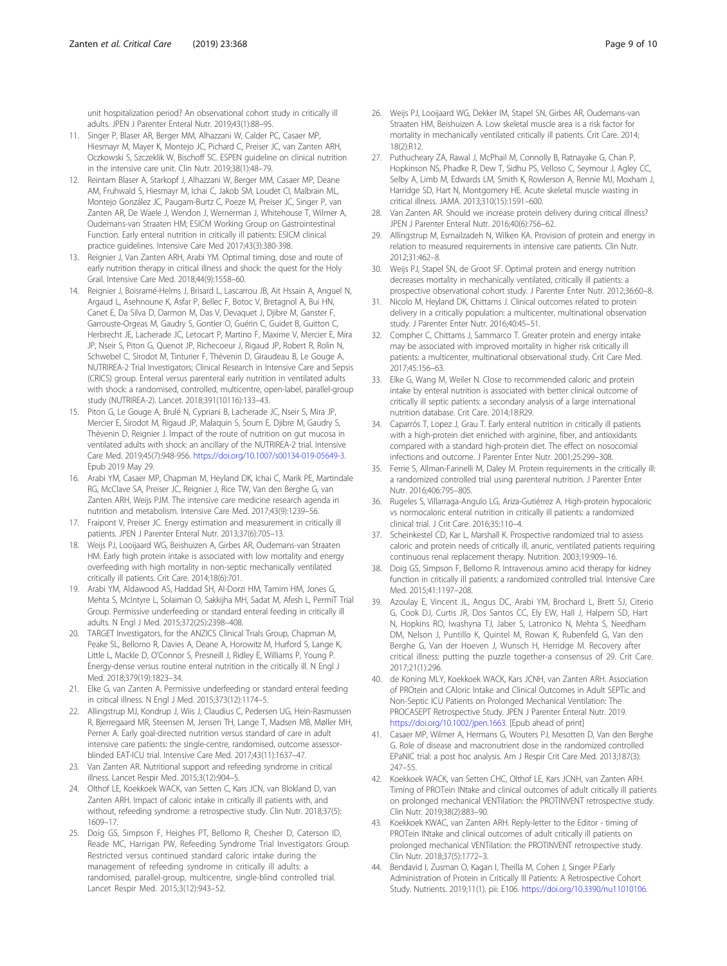<span id="page-8-0"></span>unit hospitalization period? An observational cohort study in critically ill adults. JPEN J Parenter Enteral Nutr. 2019;43(1):88–95.

- 11. Singer P, Blaser AR, Berger MM, Alhazzani W, Calder PC, Casaer MP, Hiesmayr M, Mayer K, Montejo JC, Pichard C, Preiser JC, van Zanten ARH, Oczkowski S, Szczeklik W, Bischoff SC. ESPEN guideline on clinical nutrition in the intensive care unit. Clin Nutr. 2019;38(1):48–79.
- 12. Reintam Blaser A, Starkopf J, Alhazzani W, Berger MM, Casaer MP, Deane AM, Fruhwald S, Hiesmayr M, Ichai C, Jakob SM, Loudet CI, Malbrain ML, Montejo González JC, Paugam-Burtz C, Poeze M, Preiser JC, Singer P, van Zanten AR, De Waele J, Wendon J, Wernerman J, Whitehouse T, Wilmer A, Oudemans-van Straaten HM; ESICM Working Group on Gastrointestinal Function. Early enteral nutrition in critically ill patients: ESICM clinical practice guidelines. Intensive Care Med 2017;43(3):380-398.
- 13. Reignier J, Van Zanten ARH, Arabi YM. Optimal timing, dose and route of early nutrition therapy in critical illness and shock: the quest for the Holy Grail. Intensive Care Med. 2018;44(9):1558–60.
- 14. Reignier J, Boisramé-Helms J, Brisard L, Lascarrou JB, Ait Hssain A, Anguel N, Argaud L, Asehnoune K, Asfar P, Bellec F, Botoc V, Bretagnol A, Bui HN, Canet E, Da Silva D, Darmon M, Das V, Devaquet J, Djibre M, Ganster F, Garrouste-Orgeas M, Gaudry S, Gontier O, Guérin C, Guidet B, Guitton C, Herbrecht JE, Lacherade JC, Letocart P, Martino F, Maxime V, Mercier E, Mira JP, Nseir S, Piton G, Quenot JP, Richecoeur J, Rigaud JP, Robert R, Rolin N, Schwebel C, Sirodot M, Tinturier F, Thévenin D, Giraudeau B, Le Gouge A, NUTRIREA-2 Trial Investigators; Clinical Research in Intensive Care and Sepsis (CRICS) group. Enteral versus parenteral early nutrition in ventilated adults with shock: a randomised, controlled, multicentre, open-label, parallel-group study (NUTRIREA-2). Lancet. 2018;391(10116):133–43.
- 15. Piton G, Le Gouge A, Brulé N, Cypriani B, Lacherade JC, Nseir S, Mira JP, Mercier E, Sirodot M, Rigaud JP, Malaquin S, Soum E, Djibre M, Gaudry S, Thévenin D, Reignier J. Impact of the route of nutrition on gut mucosa in ventilated adults with shock: an ancillary of the NUTRIREA-2 trial. Intensive Care Med. 2019;45(7):948-956. <https://doi.org/10.1007/s00134-019-05649-3>. Epub 2019 May 29.
- 16. Arabi YM, Casaer MP, Chapman M, Heyland DK, Ichai C, Marik PE, Martindale RG, McClave SA, Preiser JC, Reignier J, Rice TW, Van den Berghe G, van Zanten ARH, Weijs PJM. The intensive care medicine research agenda in nutrition and metabolism. Intensive Care Med. 2017;43(9):1239–56.
- 17. Fraipont V, Preiser JC. Energy estimation and measurement in critically ill patients. JPEN J Parenter Enteral Nutr. 2013;37(6):705–13.
- 18. Weijs PJ, Looijaard WG, Beishuizen A, Girbes AR, Oudemans-van Straaten HM. Early high protein intake is associated with low mortality and energy overfeeding with high mortality in non-septic mechanically ventilated critically ill patients. Crit Care. 2014;18(6):701.
- 19. Arabi YM, Aldawood AS, Haddad SH, Al-Dorzi HM, Tamim HM, Jones G, Mehta S, McIntyre L, Solaiman O, Sakkijha MH, Sadat M, Afesh L, PermiT Trial Group. Permissive underfeeding or standard enteral feeding in critically ill adults. N Engl J Med. 2015;372(25):2398–408.
- 20. TARGET Investigators, for the ANZICS Clinical Trials Group, Chapman M, Peake SL, Bellomo R, Davies A, Deane A, Horowitz M, Hurford S, Lange K, Little L, Mackle D, O'Connor S, Presneill J, Ridley E, Williams P, Young P. Energy-dense versus routine enteral nutrition in the critically ill. N Engl J Med. 2018;379(19):1823–34.
- 21. Elke G, van Zanten A. Permissive underfeeding or standard enteral feeding in critical illness. N Engl J Med. 2015;373(12):1174–5.
- 22. Allingstrup MJ, Kondrup J, Wiis J, Claudius C, Pedersen UG, Hein-Rasmussen R, Bjerregaard MR, Steensen M, Jensen TH, Lange T, Madsen MB, Møller MH, Perner A. Early goal-directed nutrition versus standard of care in adult intensive care patients: the single-centre, randomised, outcome assessorblinded EAT-ICU trial. Intensive Care Med. 2017;43(11):1637–47.
- 23. Van Zanten AR. Nutritional support and refeeding syndrome in critical illness. Lancet Respir Med. 2015;3(12):904–5.
- 24. Olthof LE, Koekkoek WACK, van Setten C, Kars JCN, van Blokland D, van Zanten ARH. Impact of caloric intake in critically ill patients with, and without, refeeding syndrome: a retrospective study. Clin Nutr. 2018;37(5): 1609–17.
- 25. Doig GS, Simpson F, Heighes PT, Bellomo R, Chesher D, Caterson ID, Reade MC, Harrigan PW, Refeeding Syndrome Trial Investigators Group. Restricted versus continued standard caloric intake during the management of refeeding syndrome in critically ill adults: a randomised, parallel-group, multicentre, single-blind controlled trial. Lancet Respir Med. 2015;3(12):943–52.
- 26. Weijs PJ, Looijaard WG, Dekker IM, Stapel SN, Girbes AR, Oudemans-van Straaten HM, Beishuizen A. Low skeletal muscle area is a risk factor for mortality in mechanically ventilated critically ill patients. Crit Care. 2014; 18(2):R12.
- 27. Puthucheary ZA, Rawal J, McPhail M, Connolly B, Ratnayake G, Chan P, Hopkinson NS, Phadke R, Dew T, Sidhu PS, Velloso C, Seymour J, Agley CC, Selby A, Limb M, Edwards LM, Smith K, Rowlerson A, Rennie MJ, Moxham J, Harridge SD, Hart N, Montgomery HE. Acute skeletal muscle wasting in critical illness. JAMA. 2013;310(15):1591–600.
- 28. Van Zanten AR. Should we increase protein delivery during critical illness? JPEN J Parenter Enteral Nutr. 2016;40(6):756–62.
- 29. Allingstrup M, Esmailzadeh N, Wilken KA. Provision of protein and energy in relation to measured requirements in intensive care patients. Clin Nutr. 2012;31:462–8.
- 30. Weijs PJ, Stapel SN, de Groot SF. Optimal protein and energy nutrition decreases mortality in mechanically ventilated, critically ill patients: a prospective observational cohort study. J Parenter Enter Nutr. 2012;36:60–8.
- 31. Nicolo M, Heyland DK, Chittams J. Clinical outcomes related to protein delivery in a critically population: a multicenter, multinational observation study. J Parenter Enter Nutr. 2016;40:45–51.
- 32. Compher C, Chittams J, Sammarco T. Greater protein and energy intake may be associated with improved mortality in higher risk critically ill patients: a multicenter, multinational observational study. Crit Care Med. 2017;45:156–63.
- 33. Elke G, Wang M, Weiler N. Close to recommended caloric and protein intake by enteral nutrition is associated with better clinical outcome of critically ill septic patients: a secondary analysis of a large international nutrition database. Crit Care. 2014;18:R29.
- 34. Caparrós T, Lopez J, Grau T. Early enteral nutrition in critically ill patients with a high-protein diet enriched with arginine, fiber, and antioxidants compared with a standard high-protein diet. The effect on nosocomial infections and outcome. J Parenter Enter Nutr. 2001;25:299–308.
- 35. Ferrie S, Allman-Farinelli M, Daley M. Protein requirements in the critically ill: a randomized controlled trial using parenteral nutrition. J Parenter Enter Nutr. 2016;406:795–805.
- 36. Rugeles S, Villarraga-Angulo LG, Ariza-Gutiérrez A. High-protein hypocaloric vs normocaloric enteral nutrition in critically ill patients: a randomized clinical trial. J Crit Care. 2016;35:110–4.
- 37. Scheinkestel CD, Kar L, Marshall K. Prospective randomized trial to assess caloric and protein needs of critically ill, anuric, ventilated patients requiring continuous renal replacement therapy. Nutrition. 2003;19:909–16.
- 38. Doig GS, Simpson F, Bellomo R. Intravenous amino acid therapy for kidney function in critically ill patients: a randomized controlled trial. Intensive Care Med. 2015;41:1197–208.
- 39. Azoulay E, Vincent JL, Angus DC, Arabi YM, Brochard L, Brett SJ, Citerio G, Cook DJ, Curtis JR, Dos Santos CC, Ely EW, Hall J, Halpern SD, Hart N, Hopkins RO, Iwashyna TJ, Jaber S, Latronico N, Mehta S, Needham DM, Nelson J, Puntillo K, Quintel M, Rowan K, Rubenfeld G, Van den Berghe G, Van der Hoeven J, Wunsch H, Herridge M. Recovery after critical illness: putting the puzzle together-a consensus of 29. Crit Care. 2017;21(1):296.
- 40. de Koning MLY, Koekkoek WACK, Kars JCNH, van Zanten ARH. Association of PROtein and CAloric Intake and Clinical Outcomes in Adult SEPTic and Non-Septic ICU Patients on Prolonged Mechanical Ventilation: The PROCASEPT Retrospective Study. JPEN J Parenter Enteral Nutr. 2019. <https://doi.org/10.1002/jpen.1663>. [Epub ahead of print]
- 41. Casaer MP, Wilmer A, Hermans G, Wouters PJ, Mesotten D, Van den Berghe G. Role of disease and macronutrient dose in the randomized controlled EPaNIC trial: a post hoc analysis. Am J Respir Crit Care Med. 2013;187(3): 247–55.
- 42. Koekkoek WACK, van Setten CHC, Olthof LE, Kars JCNH, van Zanten ARH. Timing of PROTein INtake and clinical outcomes of adult critically ill patients on prolonged mechanical VENTilation: the PROTINVENT retrospective study. Clin Nutr. 2019;38(2):883–90.
- 43. Koekkoek KWAC, van Zanten ARH. Reply-letter to the Editor timing of PROTein INtake and clinical outcomes of adult critically ill patients on prolonged mechanical VENTilation: the PROTINVENT retrospective study. Clin Nutr. 2018;37(5):1772–3.
- 44. Bendavid I, Zusman O, Kagan I, Theilla M, Cohen J, Singer P.Early Administration of Protein in Critically Ill Patients: A Retrospective Cohort Study. Nutrients. 2019;11(1). pii: E106. <https://doi.org/10.3390/nu11010106>.